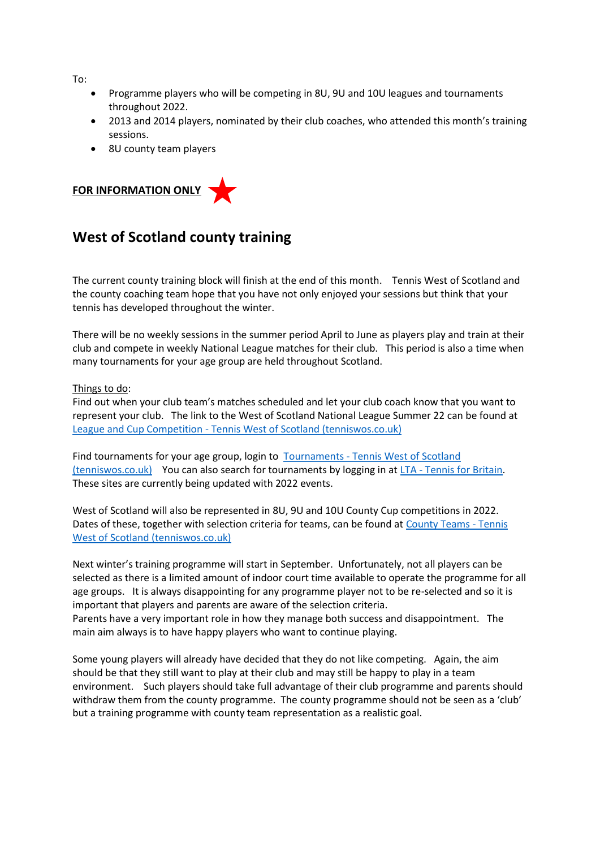To:

- Programme players who will be competing in 8U, 9U and 10U leagues and tournaments throughout 2022.
- 2013 and 2014 players, nominated by their club coaches, who attended this month's training sessions.
- 8U county team players



## **West of Scotland county training**

The current county training block will finish at the end of this month. Tennis West of Scotland and the county coaching team hope that you have not only enjoyed your sessions but think that your tennis has developed throughout the winter.

There will be no weekly sessions in the summer period April to June as players play and train at their club and compete in weekly National League matches for their club. This period is also a time when many tournaments for your age group are held throughout Scotland.

## Things to do:

Find out when your club team's matches scheduled and let your club coach know that you want to represent your club. The link to the West of Scotland National League Summer 22 can be found at League and Cup Competition - [Tennis West of Scotland \(tenniswos.co.uk\)](https://www.tenniswos.co.uk/2022-league--cup-competition.html)

Find tournaments for your age group, login to Tournaments - [Tennis West of Scotland](https://www.tenniswos.co.uk/tournaments.html)  [\(tenniswos.co.uk\)](https://www.tenniswos.co.uk/tournaments.html) You can also search for tournaments by logging in at LTA - [Tennis for Britain.](https://competitions.lta.org.uk/tournaments) These sites are currently being updated with 2022 events.

West of Scotland will also be represented in 8U, 9U and 10U County Cup competitions in 2022. Dates of these, together with selection criteria for teams, can be found at [County Teams -](https://www.tenniswos.co.uk/county-teams.html) Tennis [West of Scotland \(tenniswos.co.uk\)](https://www.tenniswos.co.uk/county-teams.html)

Next winter's training programme will start in September. Unfortunately, not all players can be selected as there is a limited amount of indoor court time available to operate the programme for all age groups. It is always disappointing for any programme player not to be re-selected and so it is important that players and parents are aware of the selection criteria. Parents have a very important role in how they manage both success and disappointment. The main aim always is to have happy players who want to continue playing.

Some young players will already have decided that they do not like competing. Again, the aim should be that they still want to play at their club and may still be happy to play in a team environment. Such players should take full advantage of their club programme and parents should withdraw them from the county programme. The county programme should not be seen as a 'club' but a training programme with county team representation as a realistic goal.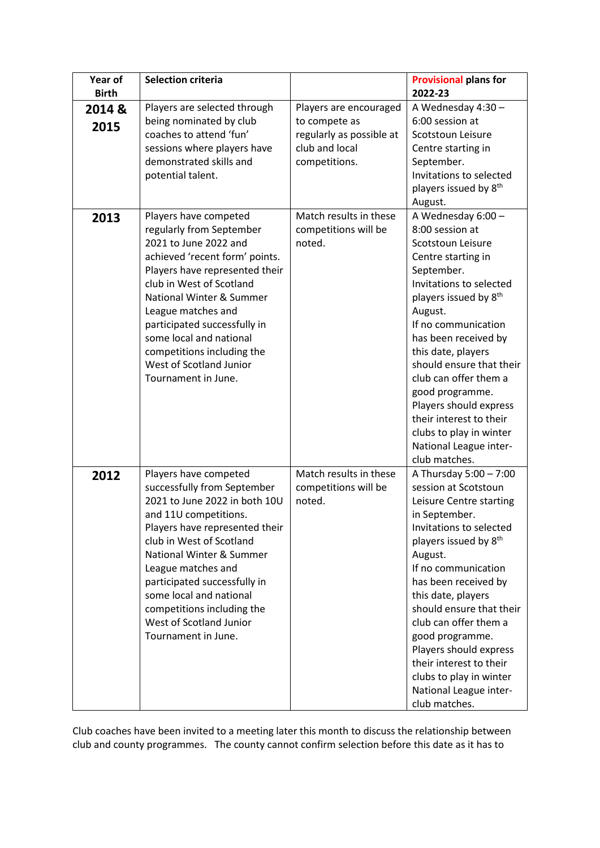| Year of      | <b>Selection criteria</b>                               |                          | <b>Provisional plans for</b>               |
|--------------|---------------------------------------------------------|--------------------------|--------------------------------------------|
| <b>Birth</b> |                                                         |                          | 2022-23                                    |
| 2014 &       | Players are selected through                            | Players are encouraged   | A Wednesday 4:30 -                         |
| 2015         | being nominated by club                                 | to compete as            | 6:00 session at                            |
|              | coaches to attend 'fun'                                 | regularly as possible at | Scotstoun Leisure                          |
|              | sessions where players have                             | club and local           | Centre starting in                         |
|              | demonstrated skills and                                 | competitions.            | September.                                 |
|              | potential talent.                                       |                          | Invitations to selected                    |
|              |                                                         |                          | players issued by 8 <sup>th</sup>          |
|              |                                                         |                          | August.                                    |
| 2013         | Players have competed                                   | Match results in these   | A Wednesday 6:00 -                         |
|              | regularly from September                                | competitions will be     | 8:00 session at                            |
|              | 2021 to June 2022 and                                   | noted.                   | Scotstoun Leisure                          |
|              | achieved 'recent form' points.                          |                          | Centre starting in                         |
|              | Players have represented their                          |                          | September.                                 |
|              | club in West of Scotland<br>National Winter & Summer    |                          | Invitations to selected                    |
|              |                                                         |                          | players issued by 8 <sup>th</sup>          |
|              | League matches and<br>participated successfully in      |                          | August.<br>If no communication             |
|              | some local and national                                 |                          | has been received by                       |
|              | competitions including the                              |                          | this date, players                         |
|              | West of Scotland Junior                                 |                          | should ensure that their                   |
|              | Tournament in June.                                     |                          | club can offer them a                      |
|              |                                                         |                          | good programme.                            |
|              |                                                         |                          | Players should express                     |
|              |                                                         |                          | their interest to their                    |
|              |                                                         |                          | clubs to play in winter                    |
|              |                                                         |                          | National League inter-                     |
|              |                                                         |                          | club matches.                              |
| 2012         | Players have competed                                   | Match results in these   | A Thursday 5:00 - 7:00                     |
|              | successfully from September                             | competitions will be     | session at Scotstoun                       |
|              | 2021 to June 2022 in both 10U                           | noted.                   | Leisure Centre starting                    |
|              | and 11U competitions.                                   |                          | in September.                              |
|              | Players have represented their                          |                          | Invitations to selected                    |
|              | club in West of Scotland                                |                          | players issued by 8 <sup>th</sup>          |
|              | <b>National Winter &amp; Summer</b>                     |                          | August.                                    |
|              | League matches and                                      |                          | If no communication                        |
|              | participated successfully in<br>some local and national |                          | has been received by<br>this date, players |
|              | competitions including the                              |                          | should ensure that their                   |
|              | West of Scotland Junior                                 |                          | club can offer them a                      |
|              | Tournament in June.                                     |                          | good programme.                            |
|              |                                                         |                          | Players should express                     |
|              |                                                         |                          | their interest to their                    |
|              |                                                         |                          | clubs to play in winter                    |
|              |                                                         |                          | National League inter-                     |
|              |                                                         |                          | club matches.                              |

Club coaches have been invited to a meeting later this month to discuss the relationship between club and county programmes. The county cannot confirm selection before this date as it has to